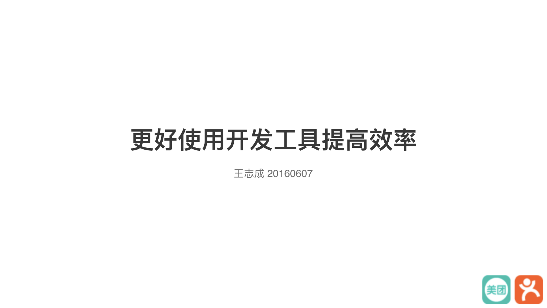# 更好使用开发工具提高效率

王志成 20160607

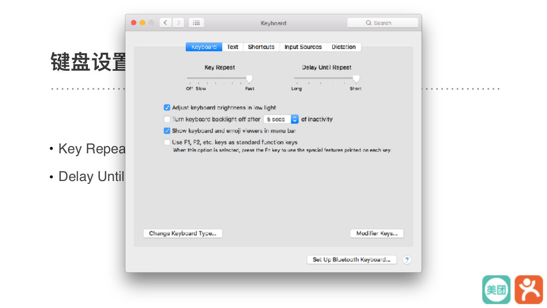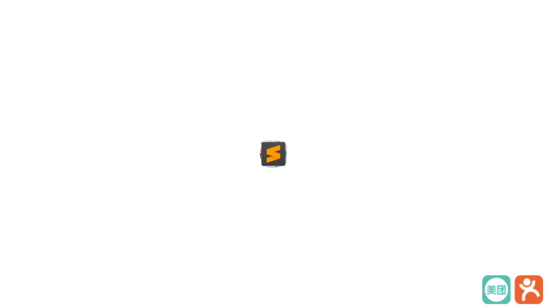

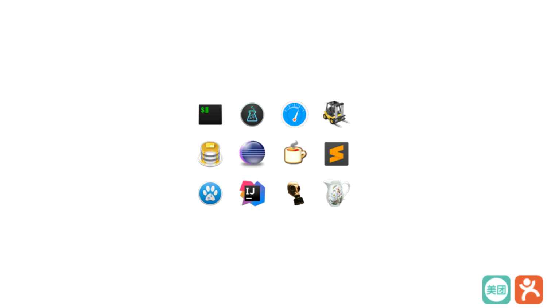

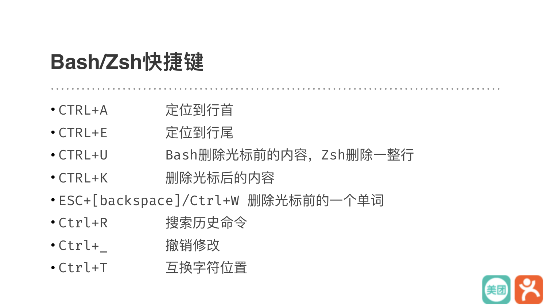## **Bash/Zsh快捷键**

- CTRL+A 定位到行首
- CTRL+E 定位到行尾
- CTRL+U Bash删除光标前的内容, Zsh删除一整行
- CTRL+K 删除光标后的内容
- ESC+[backspace]/Ctrl+W 删除光标前的一个单词
- •Ctrl+R 搜索历史命令
- •Ctrl+\_ 撤销修改
- Ctrl+T 互换字符位置

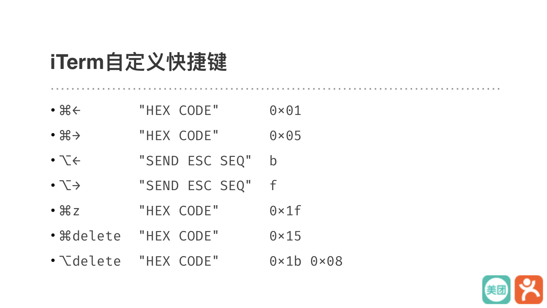## **iTerm⾃定义快捷键**

- •⌘← "HEX CODE" 0x01
- $•$   $\frac{1}{10}$   $\rightarrow$   $\frac{1}{10}$   $\rightarrow$   $\frac{1}{10}$   $\rightarrow$   $\frac{1}{10}$   $\rightarrow$   $\frac{1}{10}$   $\rightarrow$   $\frac{1}{10}$   $\rightarrow$   $\frac{1}{10}$   $\rightarrow$   $\frac{1}{10}$   $\rightarrow$   $\frac{1}{10}$   $\rightarrow$   $\frac{1}{10}$   $\rightarrow$   $\frac{1}{10}$   $\rightarrow$   $\frac{1}{10}$   $\rightarrow$   $\frac{1}{10}$   $\rightarrow$   $\frac{1}{10}$
- •⌥← "SEND ESC SEQ" b
- •⌥→ "SEND ESC SEQ" f
- $\frac{1}{2}$  \* 2 \* THEX CODE " 0x1f
- **Bdelete** "HEX CODE" 0×15
- Cdelete "HEX CODE" 0x1b 0x08

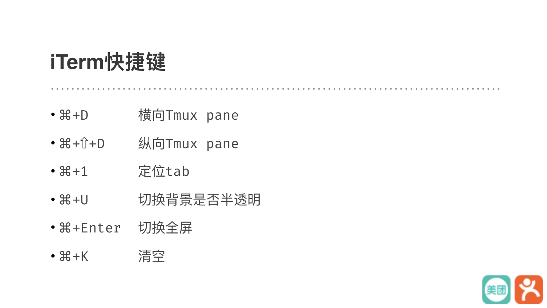## **iTerm快捷键**

•  $#D$  横向Tmux pane

- $B + \hat{U} + D$  纵向 Tmux pane
- $\mathcal{B}+1$  定位tab
- •⌘+U 切换背景是否半透明
- •⌘+Enter 切换全屏
- •⌘+K 清空

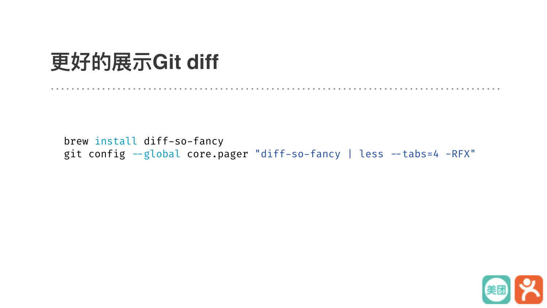## **更好的展示Git diff**

brew install diff-so-fancy git config --global core.pager "diff-so-fancy | less --tabs=4 -RFX"

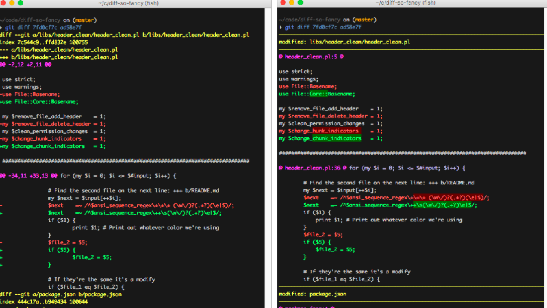```
\bullet\bullet\bullet~/c/diff-so-fancy (fish)
v/code/diff-so-fancy on (master)
) git diff 7fd0cf7c ad58e7f
diff --git a/libs/header_clean/header_clean.pl b/libs/header_clean/header_clean.pl
index 7c544c9..ffd832e 100755
--- a/libs/header_clean/header_clean.pl
+++ b/libs/header_clean/header_clean.pl
00 -2,12 +2,11 00
use strict:
use warmings;
-use File::Basename:
+use File::Core::Basename;
my $remove_file_add_header
                            = 1.-my $remove_file_delete_header = 1;
my $clean_permission_changes = 1;
-my $change_hunk_indicators = -1;
- 4ny $change_chunk_indicators = 1;
\mathbb{R}^2 -34,11 +33,13 \mathbb{R}^2 for (my $i = 0; $i <= $#input; $i++) {
              # Find the second file on the next line: +++ b/README.md
              my $next = $input[++$i];
              $next = /^$ansi_sequence_regex\+\+\+ (\w\/)?(.+?)(\el$)/;
              $next = /^$ansi_sequence_regex\++\s(\w\/)?(.+?)\el$/;
              if ($1) {
                      print $1; # Print out whatever color we're using
              $file_2 = $5;if ($5) {
                      $file_2 = $5;ъ
              # If they're the same it's a modify
              if ($file_1 eq $file_2) {
diff --git a/package.json b/package.json
index 444c17a..b949434 100644
```
#### $\bullet\bullet\bullet$

```
~/code/diff-so-fancy on (master)
I git diff 7fd0cf7c ad58e7f
```
modified: libs/header\_clean/header\_clean.pl

```
@ header_clean.pl:5 @
```

```
use strict;
use warnings;
use File::Basename;
use File::Core::Basename;
```

```
my $remove_file_add_header = 1;
my $remove_file_delete_header = 1;
my Sclean_permission_changes = 1;
my $change_hunk_indicators = -1;
my $change_chunk_indicators = 1;
```

```
@ header_clean.pl:36 @ for (my $i = 0; $i <= $#input; $i++) {
```

```
# Find the second file on the next line: +++ b/README.md
       my Snext = $input[\leftrightarrow$i];
       Snext === /^Sansi_sequence_regex\+\+\+ (\w\/)?(.+?)(\el$)/;
       $next == /^$ansi_sequence_regex\++\s(\w\/)?(.+?)\el$/;
       if (31) {
           print $1; # Print out whatever color we're using
       $file_2 = $5;if(45) {
           $file_2 = $5;# If they're the same it's a modify
       if (3file_1 eq $file_2) {
modified: package.json
```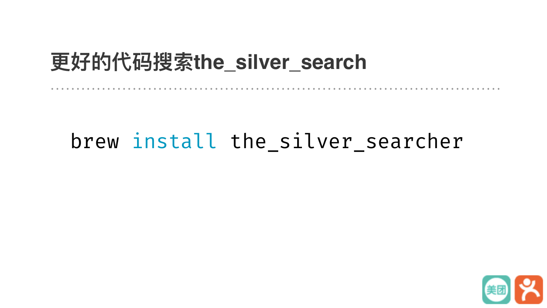#### **更好的代码搜索the\_silver\_search**

#### brew install the\_silver\_searcher

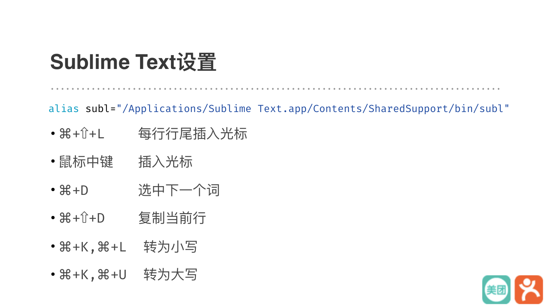## **Sublime Text设置**

alias subl="/Applications/Sublime Text.app/Contents/SharedSupport/bin/subl"

- $B+1+L$  每行行尾插入光标
- •⿏标中键 插⼊光标
- $\texttt{H}$ +D 进中下一个词
- $\mathcal{R}$ +Û+D 复制当前行
- $B+K$ ,  $B+L$  转为小写
- •⌘+K,⌘+U 转为⼤写

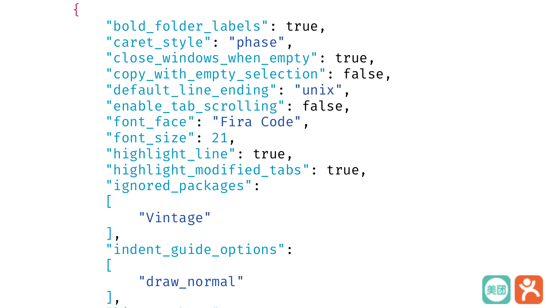```
 "bold_folder_labels": true, 
    "caret style": "phase",
    "close windows_when_empty": true,
     "copy_with_empty_selection": false, 
    "default line ending": "unix",
    "enable tab scrolling": false,
    "font face": "Fira Code",
    "font size": 21,
    "highlight line": true,
     "highlight_modified_tabs": true, 
     "ignored_packages": 
\sim \sim \sim "Vintage"
 ], 
    "indent guide options":
\sim \sim \sim "draw_normal"
 ],
```
"line\_true, true, true, true, true, true, true, true, true, true, true, true, true, true, true, true, true, tru

 $\{$ 

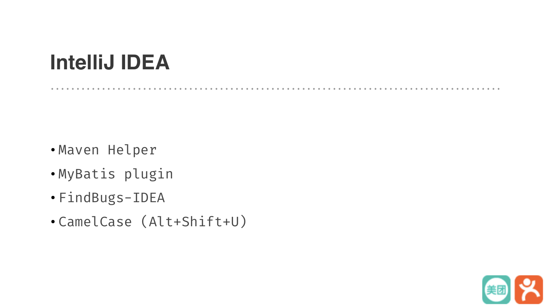## **IntelliJ IDEA**

- •Maven Helper
- •MyBatis plugin
- •FindBugs-IDEA
- •CamelCase (Alt+Shift+U)

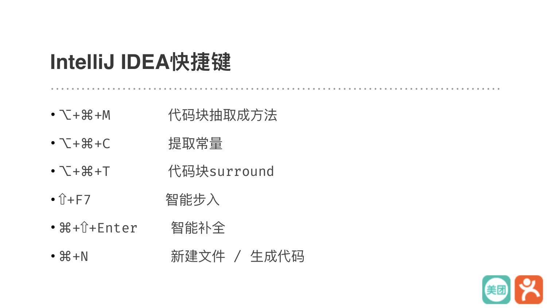## **IntelliJ IDEA快捷键**

- て+器+M 他码块抽取成方法
- •⌥+⌘+C 提取常量
- N+器+T 代码块surround
- Î+F7 智能步入
- $B+î+Enter$  智能补全
- $\text{ }$   $\text{ }$   $\text{ }$   $\text{ }$   $\text{ }$   $\text{ }$   $\text{ }$   $\text{ }$   $\text{ }$   $\text{ }$   $\text{ }$   $\text{ }$   $\text{ }$   $\text{ }$   $\text{ }$   $\text{ }$   $\text{ }$   $\text{ }$   $\text{ }$   $\text{ }$   $\text{ }$   $\text{ }$   $\text{ }$   $\text{ }$   $\text{ }$   $\text{ }$   $\text{ }$   $\text{ }$   $\text{ }$   $\text{ }$   $\text{ }$   $\$

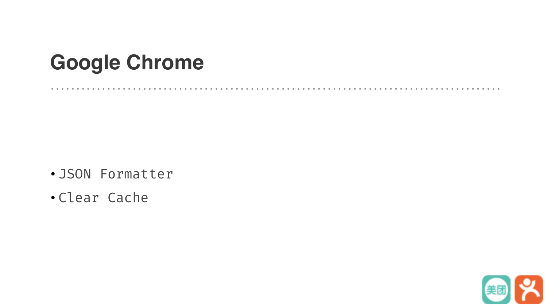### **Google Chrome**

- •JSON Formatter
- •Clear Cache

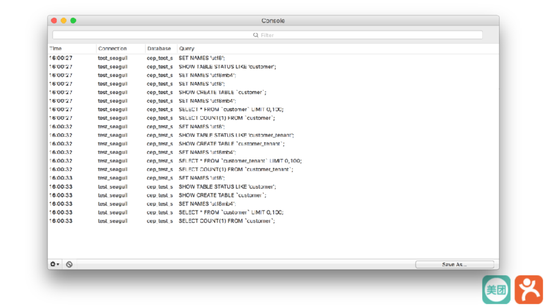| $\bullet\bullet\bullet$ | Console      |            |                                                         |         |
|-------------------------|--------------|------------|---------------------------------------------------------|---------|
|                         |              |            | Q Filter                                                |         |
| Time                    | Connection   | Database   | Query                                                   |         |
| 16:00:27                | test_seagull | cep_test_s | SET NAMES 'utf8':                                       |         |
| 16:00:27                | test_seagull |            | cep_test_s SHOW TABLE STATUS LIKE 'customer';           |         |
| 16:00:27                | test_seaguil |            | cep_test_s SET NAMES 'utf8mb4';                         |         |
| 16:00:27                | test_seagull |            | cep_test_s SET NAMES 'utf8';                            |         |
| 16:00:27                | test_seagull |            | cep_test_s SHOW CREATE TABLE `customer';                |         |
| 16:00:27                | test_seagull |            | cep_test_s SET NAMES 'utf8mb4';                         |         |
| 16:00:27                | test_seagull |            |                                                         |         |
| 16:00:27                | test_seagull |            | cep_test_s SELECT COUNT(1) FROM `customer`;             |         |
| 16:00:32                | test_seagull |            | cep_test_s SET NAMES 'utf8';                            |         |
| 6:00:32                 | test_seagull |            | cep_test_s SHOW TABLE STATUS LIKE 'customer_tenant';    |         |
| 6:00:32                 | test_seaguil |            | cep_test_s SHOW CREATE TABLE `customer_tenant`;         |         |
| 6:00:32                 | test_seagull |            | cep_test_s SET NAMES 'utf8mb4';                         |         |
| 6:00:32                 | test_seagull |            | cep_test_s SELECT * FROM "customer_tenant" LIMIT 0,100; |         |
| 6:00:32                 | test_seagull |            | cep_test_s SELECT COUNT(1) FROM 'customer_tenant';      |         |
| 6:00:33                 | test_seagull |            | cep_test_s SET NAMES 'utf8';                            |         |
| 16:00:33                | test seagull |            |                                                         |         |
| 16:00:33                | test seagull |            | cep_test_s SHOW CREATE TABLE 'customer';                |         |
| 16:00:33                | test seaguil |            | cep_test_s SET NAMES 'utf8mb4';                         |         |
| 16:00:33                | test seagull |            |                                                         |         |
| 16:00:33                | test seagull |            |                                                         |         |
|                         |              |            |                                                         |         |
|                         |              |            |                                                         |         |
| $\mathbf{G}$ $\bullet$  |              |            |                                                         | Save As |

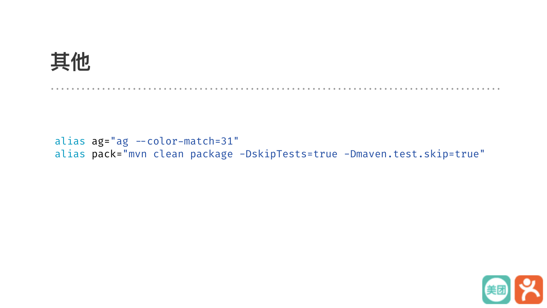

alias ag="ag --color-match=31" alias pack="mvn clean package -DskipTests=true -Dmaven.test.skip=true"